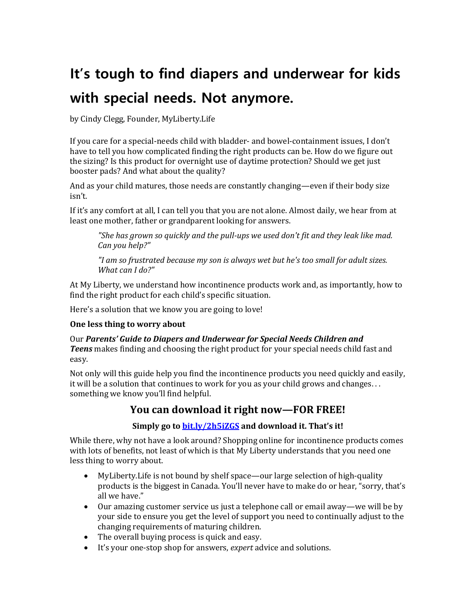## **It's tough to find diapers and underwear for kids with special needs. Not anymore.**

by Cindy Clegg, Founder, MyLiberty.Life

If you care for a special-needs child with bladder- and bowel-containment issues, I don't have to tell you how complicated finding the right products can be. How do we figure out the sizing? Is this product for overnight use of daytime protection? Should we get just booster pads? And what about the quality?

And as your child matures, those needs are constantly changing—even if their body size isn't.

If it's any comfort at all, I can tell you that you are not alone. Almost daily, we hear from at least one mother, father or grandparent looking for answers.

*"She has grown so quickly and the pull-ups we used don't fit and they leak like mad. Can you help?"*

*"I am so frustrated because my son is always wet but he's too small for adult sizes. What can I do?"*

At My Liberty, we understand how incontinence products work and, as importantly, how to find the right product for each child's specific situation.

Here's a solution that we know you are going to love!

## **One less thing to worry about**

Our *Parents' Guide to Diapers and Underwear for Special Needs Children and Teens* makes finding and choosing the right product for your special needs child fast and easy.

Not only will this guide help you find the incontinence products you need quickly and easily, it will be a solution that continues to work for you as your child grows and changes. . . something we know you'll find helpful.

## **You can download it right now—FOR FREE!**

## **Simply go t[o bit.ly/2h5iZGS](http://bit.ly/2h5iZGS) and download it. That's it!**

While there, why not have a look around? Shopping online for incontinence products comes with lots of benefits, not least of which is that My Liberty understands that you need one less thing to worry about.

- MyLiberty.Life is not bound by shelf space—our large selection of high-quality products is the biggest in Canada. You'll never have to make do or hear, "sorry, that's all we have."
- Our amazing customer service us just a telephone call or email away—we will be by your side to ensure you get the level of support you need to continually adjust to the changing requirements of maturing children.
- The overall buying process is quick and easy.
- It's your one-stop shop for answers, *expert* advice and solutions.